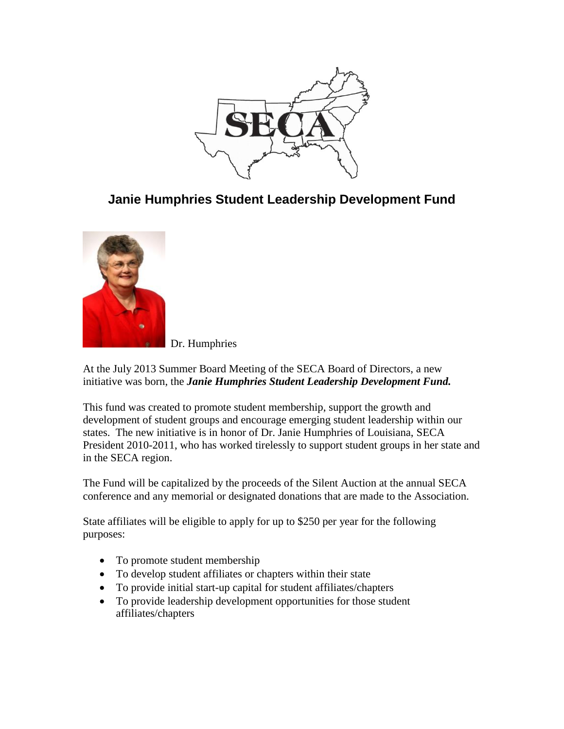

# **Janie Humphries Student Leadership Development Fund**



Dr. Humphries

At the July 2013 Summer Board Meeting of the SECA Board of Directors, a new initiative was born, the *Janie Humphries Student Leadership Development Fund.*

This fund was created to promote student membership, support the growth and development of student groups and encourage emerging student leadership within our states. The new initiative is in honor of Dr. Janie Humphries of Louisiana, SECA President 2010-2011, who has worked tirelessly to support student groups in her state and in the SECA region.

The Fund will be capitalized by the proceeds of the Silent Auction at the annual SECA conference and any memorial or designated donations that are made to the Association.

State affiliates will be eligible to apply for up to \$250 per year for the following purposes:

- To promote student membership
- To develop student affiliates or chapters within their state
- To provide initial start-up capital for student affiliates/chapters
- To provide leadership development opportunities for those student affiliates/chapters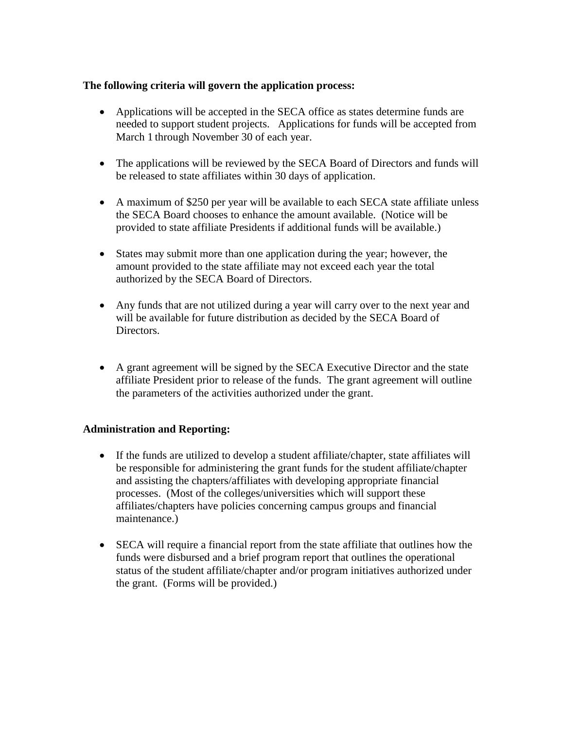#### **The following criteria will govern the application process:**

- Applications will be accepted in the SECA office as states determine funds are needed to support student projects. Applications for funds will be accepted from March 1 through November 30 of each year.
- The applications will be reviewed by the SECA Board of Directors and funds will be released to state affiliates within 30 days of application.
- A maximum of \$250 per year will be available to each SECA state affiliate unless the SECA Board chooses to enhance the amount available. (Notice will be provided to state affiliate Presidents if additional funds will be available.)
- States may submit more than one application during the year; however, the amount provided to the state affiliate may not exceed each year the total authorized by the SECA Board of Directors.
- Any funds that are not utilized during a year will carry over to the next year and will be available for future distribution as decided by the SECA Board of Directors.
- A grant agreement will be signed by the SECA Executive Director and the state affiliate President prior to release of the funds. The grant agreement will outline the parameters of the activities authorized under the grant.

#### **Administration and Reporting:**

- If the funds are utilized to develop a student affiliate/chapter, state affiliates will be responsible for administering the grant funds for the student affiliate/chapter and assisting the chapters/affiliates with developing appropriate financial processes. (Most of the colleges/universities which will support these affiliates/chapters have policies concerning campus groups and financial maintenance.)
- SECA will require a financial report from the state affiliate that outlines how the funds were disbursed and a brief program report that outlines the operational status of the student affiliate/chapter and/or program initiatives authorized under the grant. (Forms will be provided.)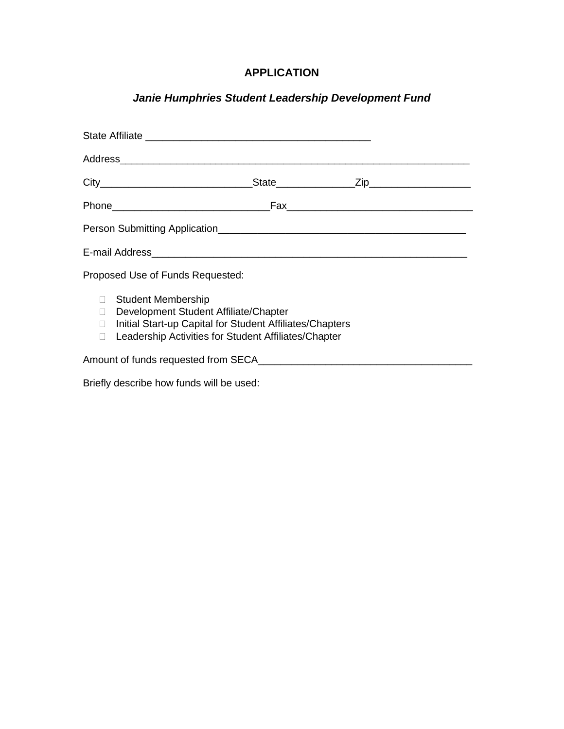### **APPLICATION**

## *Janie Humphries Student Leadership Development Fund*

| Proposed Use of Funds Requested: |                                                                                                                                                                                     |
|----------------------------------|-------------------------------------------------------------------------------------------------------------------------------------------------------------------------------------|
| П                                | □ Student Membership<br>Development Student Affiliate/Chapter<br>□ Initial Start-up Capital for Student Affiliates/Chapters<br>Leadership Activities for Student Affiliates/Chapter |
|                                  |                                                                                                                                                                                     |

Briefly describe how funds will be used: